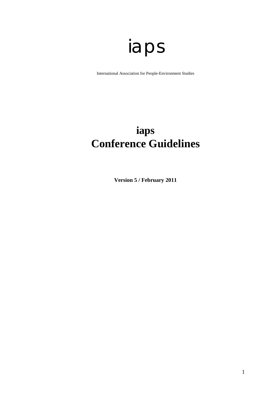# iaps

International Association for People-Environment Studies

# **iaps Conference Guidelines**

**Version 5 / February 2011**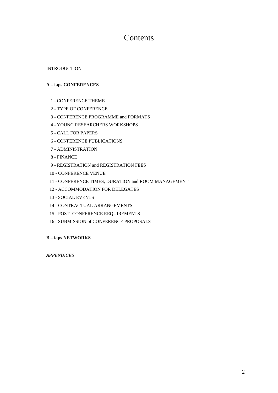## Contents

#### INTRODUCTION

#### **A – iaps CONFERENCES**

- 1 CONFERENCE THEME
- 2 TYPE OF CONFERENCE
- 3 CONFERENCE PROGRAMME and FORMATS
- 4 YOUNG RESEARCHERS WORKSHOPS
- 5 CALL FOR PAPERS
- 6 CONFERENCE PUBLICATIONS
- 7 ADMINISTRATION
- 8 FINANCE
- 9 REGISTRATION and REGISTRATION FEES
- 10 CONFERENCE VENUE
- 11 CONFERENCE TIMES, DURATION and ROOM MANAGEMENT
- 12 ACCOMMODATION FOR DELEGATES
- 13 SOCIAL EVENTS
- 14 CONTRACTUAL ARRANGEMENTS
- 15 POST -CONFERENCE REQUIREMENTS
- 16 SUBMISSION of CONFERENCE PROPOSALS

#### **B – iaps NETWORKS**

*APPENDICES*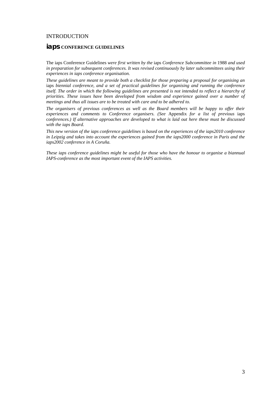#### **INTRODUCTION**

#### **iaps CONFERENCE GUIDELINES**

The iaps Conference Guidelines *were first written by the* iaps *Conference Subcommittee in* 1988 *and used in preparation for subsequent conferences. It was revised continuously by later subcommittees using their experiences in iaps conference organisation.*

*These guidelines are meant to provide both a checklist for those preparing a proposal for organising an*  iaps *biennial conference, and a set of practical guidelines for organising and running the conference itself. The order in which the following guidelines are presented is not intended to reflect a hierarchy of priorities. These issues have been developed from wisdom and experience gained over a number of meetings and thus all issues are to be treated with care and to be adhered to.* 

*The organisers of previous conferences as well as the Board members will be happy to offer their experiences and comments to Conference organisers. (See* Appendix *for a list of previous* iaps c*onferences.) If alternative approaches are developed to what is laid out here these must be discussed with the iaps Board.* 

*This new version of the iaps conference guidelines is based on the experiences of the iaps2010 conference in Leipzig and takes into account the experiences gained from the iaps2000 conference in Paris and the iaps2002 conference in A Coruña.* 

*These iaps conference guidelines might be useful for those who have the honour to organise a biannual IAPS-conference as the most important event of the IAPS activities.*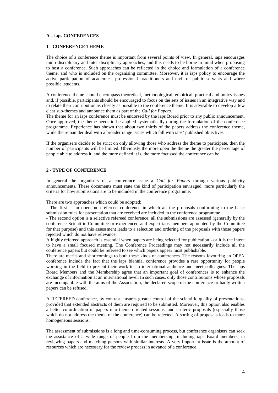#### **A – iaps CONFERENCES**

#### **1 - CONFERENCE THEME**

The choice of a conference theme is important from several points of view. In general, iaps encourages multi-disciplinary and inter-disciplinary approaches, and this needs to be borne in mind when proposing to host a conference. Such approaches can be reflected in the choice and formulation of a conference theme, and who is included on the organising committee. Moreover, it is iaps policy to encourage the active participation of academics, professional practitioners and civil or public servants and where possible, students.

A conference theme should encompass theoretical, methodological, empirical, practical and policy issues and, if possible, participants should be encouraged to focus on the sets of issues in an integrative way and to relate their contribution as closely as possible to the conference theme. It is advisable to develop a few clear sub-themes and announce them as part of the *Call for Papers.* 

The theme for an iaps conference must be endorsed by the iaps Board prior to any public announcement. Once approved, the theme needs to be applied systematically during the formulation of the conference programme. Experience has shown that about two thirds of the papers address the conference theme, while the remainder deal with a broader range issues which fall with iaps' published objectives

If the organisers decide to be strict on only allowing those who address the theme to participate, then the number of participants will be limited. Obviously the more open the theme the greater the percentage of people able to address it, and the more defined it is, the more focussed the conference can be.

#### **2 - TYPE OF CONFERENCE**

In general the organisers of a conference issue a *Call for Papers* through various publicity announcements. These documents must state the kind of participation envisaged, more particularly the criteria for how submissions are to be included in the conference programme.

There are two approaches which could be adopted:

- The first is an open, non-refereed conference in which all the proposals conforming to the basic submission rules for presentation that are received are included in the conference programme.

- The second option is a selective refereed conference: all the submissions are assessed (generally by the conference Scientific Committee or experienced and expert iaps members appointed by the Committee for that purpose) and this assessment leads to a selection and ordering of the proposals with those papers rejected which do not have relevance.

A highly refereed approach is essential when papers are being selected for publication - or it is the intent to have a small focused meeting. The Conference Proceedings may not necessarily include all the conference papers but could be refereed to see which papers appear most publishable.

There are merits and shortcomings to both these kinds of conferences. The reasons favouring an OPEN conference include the fact that the iaps biennial conference provides a rare opportunity for people working in the field to present their work to an international audience and meet colleagues. The iaps Board Members and the Membership agree that an important goal of conferences is to enhance the exchange of information at an international level. In such cases, only those contributions whose proposals are incompatible with the aims of the Association, the declared scope of the conference or badly written papers can be refused.

A REFEREED conference, by contrast, insures greater control of the scientific quality of presentations, provided that extended abstracts of them are required to be submitted. Moreover, this option also enables a better co-ordination of papers into theme-oriented sessions, and esoteric proposals (especially those which do not address the theme of the conference) can be rejected. A sorting of proposals leads to more homogeneous sessions.

The assessment of submissions is a long and time-consuming process, but conference organisers can seek the assistance of a wide range of people from the membership, including iaps Board members, in reviewing papers and matching persons with similar interests. A very important issue is the amount of resources which are necessary for the review process in advance of a conference.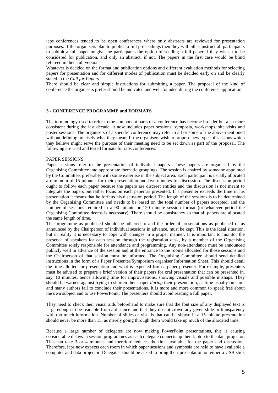iaps conferences tended to be open conferences where only abstracts are reviewed for presentation purposes. If the organisers plan to publish a full proceedings then they will either instruct all participants to submit a full paper or give the participants the option of sending a full paper if they wish it to be considered for publication, and only an abstract, if not. The papers in the first case would be blind refereed in their full versions.

Whatever is decided on the format and publication options and different evaluation methods for selecting papers for presentation and for different modes of publication must be decided early on and be clearly stated in the *Call for Papers.* 

There should be clear and simple instructions for submitting a paper. The proposal of the kind of conference the organisers prefer should be indicated and well-founded during the conference application.

#### **3 - CONFERENCE PROGRAMME and FORMATS**

The terminology used to refer to the component parts of a conference has become broader but also more consistent during the last decade; it now includes paper sessions, symposia, workshops, site visits and poster sessions. The organisers of a specific conference may refer to all or some of the above-mentioned without defining precisely what they mean. If the organisers wish to propose new types of sessions which they believe might serve the purpose of their meeting need to be set down as part of the proposal. The following are tried and tested formats for iaps conferences:

#### PAPER SESSIONS

Paper sessions refer to the presentation of individual papers. These papers are organised by the Organising Committee into appropriate thematic groupings. The session is chaired by someone appointed by the Committee, preferably with some expertise in the subject area. Each participant is usually allocated a minimum of 15 minutes for their presentation and five minutes for discussion. The discussion period ought to follow each paper because the papers are discreet entities and the discussion is not meant to integrate the papers but rather focus on each paper as presented. If a presenter exceeds the time in his presentation it means that he forfeits his discussion period. The length of the sessions is to be determined by the Organising Committee and needs to be based on the total number of papers accepted, and the number of sessions required in a 90 minute or 120 minute session format (or whatever period the Organising Committee deems is necessary). There should be consistency so that all papers are allocated the same length of time.

The programme as published should be adhered to and the order of presentations as published or as announced by the Chairperson of individual sessions in advance, must be kept. This is the ideal situation, but in reality it is necessary to cope with changes in a proper manner. It is important to monitor the presence of speakers for each session through the registration desk, by a member of the Organising Committee solely responsible for attendance and programming. Any non-attendance must be announced publicly well in advance of the session and at the entrance to the rooms allocated for those sessions and the Chairperson of that session must be informed. The Organising Committee should send detailed instructions in the form of a Paper Presenter/Symposium organiser Information Sheet. This should detail the time allotted for presentation and what is expected from a paper presenter. For example, presenters must be advised to prepare a brief version of their papers for oral presentation that can be presented in, say, 10 minutes, hence allowing time for improvisations, showing visuals and possible mishaps. They should be warned against trying to shorten their paper *during* their presentation, as time usually runs out and many authors fail to conclude their presentations. It is more and more common to speak free about the own subject and to use PowerPoint. The presenters should avoid reading a full paper.

They need to check their visual aids beforehand to make sure that the font size of any displayed text is large enough to be readable from a distance and that they do not crowd any given slide or transparency with too much information. Number of slides or visuals that can be shown in a 15 minute presentation should never be more than 15, as merely going through them would take up much of the allocated time.

Because a large number of delegates are now making PowerPoint presentations, this is causing considerable delays in session programmes as each delegate connects up their laptop to the data projector. This can take 3 or 4 minutes and therefore reduces the time available for the paper and discussion. Therefore, iaps now expects each room in which paper sessions and symposia are held to have available a computer and data projector. Delegates should be asked to bring their presentation on either a USB stick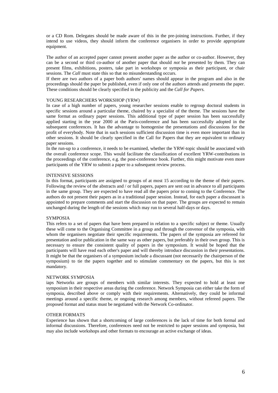or a CD Rom. Delegates should be made aware of this in the pre-joining instructions. Further, if they intend to use videos, they should inform the conference organisers in order to provide appropriate equipment.

The author of an accepted paper cannot present another paper as the author or co-author. However, they can be a second or third co-author of another paper that should *not* be presented by them. They can present films, exhibitions, posters, take part in workshops or symposia as their participant, or chair sessions. The *Call* must state this so that no misunderstanding occurs.

If there are two authors of a paper both authors' names should appear in the program and also in the proceedings should the paper be published, even if only one of the authors attends and presents the paper. These conditions should be clearly specified in the publicity and the *Call for Papers.*

#### YOUNG RESEARCHERS WORKSHOP (YRW)

In case of a high number of papers, young researcher sessions enable to regroup doctoral students in specific sessions around a particular theme, chaired by a specialist of the theme. The sessions have the same format as ordinary paper sessions. This additional type of paper session has been successfully applied starting in the year 2000 at the Paris-conference and has been successfully adopted in the subsequent conferences. It has the advantage to homogenise the presentations and discussions for the profit of everybody. Note that in such sessions sufficient discussion time is even more important than in other sessions. It should be clearly specified in the Call for Papers that they are equivalent to ordinary paper sessions.

In the run-up to a conference, it needs to be examined, whether the YRW-topic should be associated with the overall conference scope. This would facilitate the classification of excellent YRW-contributions in the proceedings of the conference, e.g. the post-conference book. Further, this might motivate even more participants of the YRW to submit a paper to a subsequent review process.

#### INTENSIVE SESSIONS

In this format, participants are assigned to groups of at most 15 according to the theme of their papers. Following the review of the abstracts and / or full papers, papers are sent out in advance to all participants in the same group. They are expected to have read all the papers prior to coming to the Conference. The authors do not present their papers as in a traditional paper session. Instead, for each paper a discussant is appointed to prepare comments and start the discussion on that paper. The groups are expected to remain unchanged during the length of the sessions which may run to several half-days or days.

#### SYMPOSIA

This refers to a set of papers that have been prepared in relation to a specific subject or theme. Usually these will come to the Organising Committee in a group and through the convenor of the symposia, with whom the organisers negotiate their specific requirements. The papers of the symposia are refereed for presentation and/or publication in the same way as other papers, but preferably in their own group. This is necessary to ensure the consistent quality of papers in the symposium. It would be hoped that the participants will have read each other's paper and will thereby introduce discussion in their presentations. It might be that the organisers of a symposium include a discussant (not necessarily the chairperson of the symposium) to tie the papers together and to stimulate commentary on the papers, but this is not mandatory.

#### NETWORK SYMPOSIA

iaps Networks are groups of members with similar interests. They expected to hold at least one symposium in their respective areas during the conference. Network Symposia can either take the form of symposia, described above or comply with their requirements. Alternatively, they could be informal meetings around a specific theme, or ongoing research among members, without refereed papers. The proposed format and status must be negotiated with the Network Co-ordinator.

#### OTHER FORMATS

Experience has shown that a shortcoming of large conferences is the lack of time for both formal and informal discussions. Therefore, conferences need not be restricted to paper sessions and symposia, but may also include workshops and other formats to encourage an active exchange of ideas.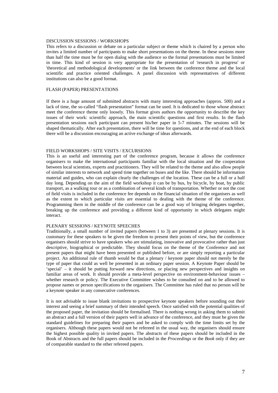#### DISCUSSION SESSIONS / WORKSHOPS

This refers to a discussion or debate on a particular subject or theme which is chaired by a person who invites a limited number of participants to make short presentations on the theme. In these sessions more than half the time must be for open dialog with the audience so the formal presentations must be limited in time. This kind of session is very appropriate for the presentation of 'research in progress' or 'theoretical and methodological developments' or the link between the conference theme and the local scientific and practice oriented challenges. A panel discussion with representatives of different institutions can also be a good format.

#### FLASH (PAPER) PRESENTATIONS

If there is a huge amount of submitted abstracts with many interesting approaches (approx. 500) and a lack of time, the so-called "flash presentation" format can be used. It is dedicated to those whose abstract meet the conference theme only loosely. This format gives authors the opportunity to describe the key issues of their work: scientific approach, the main scientific questions and first results. In the flash presentation sessions each participant can present his/her paper in 5-7 minutes. The sessions will be shaped thematically. After each presentation, there will be time for questions, and at the end of each block there will be a discussion encouraging an active exchange of ideas afterwards.

#### FIELD WORKSHOPS / SITE VISITS / EXCURSIONS

This is an useful and interesting part of the conference program, because it allows the conference organisers to make the international participants familiar with the local situation and the cooperation between local scientists, experts and practitioners. They will be related to the theme and also allow people of similar interests to network and spend time together on buses and the like. There should be information material and guides, who can explain clearly the challenges of the location. These can be a full or a half day long. Depending on the aim of the field workshop it can be by bus, by bicycle, by boat, by public transport, as a walking tour or as a combination of several kinds of transportation. Whether or not the cost of field visits is included in the conference fee depends on the financial situation of the organisers as well as the extent to which particular visits are essential to dealing with the theme of the conference. Programming them in the middle of the conference can be a good way of bringing delegates together, breaking up the conference and providing a different kind of opportunity in which delegates might interact.

#### PLENARY SESSIONS / KEYNOTE SPEECHES

Traditionally, a small number of invited papers (between 1 to 3) are presented at plenary sessions. It is customary for these speakers to be given the freedom to present their points of view, but the conference organisers should strive to have speakers who are stimulating, innovative and provocative rather than just descriptive, biographical or predictable. They should focus on the theme of the Conference and not present papers that might have been presented or published before, or are simply reporting a particular project. An additional rule of thumb would be that a plenary / keynote paper should not merely be the type of paper that could as well be presented in an ordinary paper session. A Keynote Paper should be 'special' – it should be putting forward new directions, or placing new perspectives and insights on familiar areas of work. It should provide a meta-level perspective on environment-behaviour issues – whether research or policy. The Executive Committee wishes to be consulted on and to be allowed to propose names or person specifications to the organisers. The Committee has ruled that no person will be a keynote speaker in any consecutive conferences.

It is not advisable to issue blank invitations to prospective keynote speakers before sounding out their interest and seeing a brief summary of their intended speech. Once satisfied with the potential qualities of the proposed paper, the invitation should be formalised. There is nothing wrong in asking them to submit an abstract and a full version of their papers well in advance of the conference, and they must be given the standard guidelines for preparing their papers and be asked to comply with the time limits set by the organisers. Although these papers would not be refereed in the usual way, the organisers should ensure the highest possible quality in invited papers. The abstracts of these papers should be included in the Book of Abstracts and the full papers should be included in the *Proceedings* or the *Book* only if they are of comparable standard to the other refereed papers.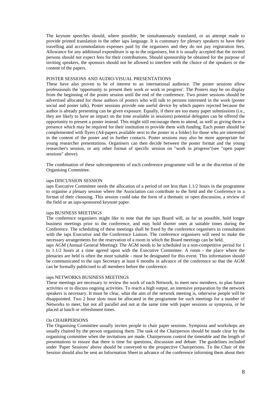The keynote speeches should, where possible, be simultaneously translated, or an attempt made to provide printed translation in the other iaps language. It is customary for plenary speakers to have their travelling and accommodation expenses paid by the organisers and they do not pay registration fees. Allowance for any additional expenditure is up to the organisers, but it is usually accepted that the invited persons should not expect fees for their contributions. Should sponsorship be obtained for the purpose of inviting speakers, the sponsors should not be allowed to interfere with the choice of the speakers or the content of the papers.

#### POSTER SESSIONS AND AUDIO-VISUAL PRESENTATIONS

These have also proven to be of interest to an international audience. The poster sessions allow professionals the 'opportunity to present their work or work in progress'. The Posters may be on display from the beginning of the poster session until the end of the conference. Two poster sessions should be advertised allocated for those authors of posters who will talk to persons interested in the work (poster social and poster talk). Poster sessions provide one useful device by which papers rejected because the author is already presenting can be given exposure. Equally, if there are too many paper submissions (i.e., they are likely to have an impact on the time available in sessions) potential delegates can be offered the opportunity to present a poster instead. This might still encourage them to attend, as well as giving them a presence which may be required for their institution to provide them with funding. Each poster should be complemented with flyers (A4-papers available next to the poster in a folder) for those who are interested in the content of the poster and in further contacts. Poster sessions may also be more appropriate for young researcher presentations. Organisers can then decide between the poster format and the young researcher's session, or any other format of specific session on "work in progress"(see "open paper sessions" above).

The combination of these subcomponents of each conference programme will be at the discretion of the Organising Committee.

#### iaps DISCUSSION SESSION

iaps Executive Committee needs the allocation of a period of not less than 1.1/2 hours in the programme to organise a plenary session where the Association can contribute to the field and the Conference in a format of their choosing. This session could take the form of a thematic or open discussion, a review of the field or an iaps-sponsored keynote paper.

#### iaps BUSINESS MEETINGS

The conference organisers might like to note that the iaps Board will, as far as possible, hold longer business meetings prior to the conference, and may hold shorter ones at suitable times during the Conference. The scheduling of these meetings shall be fixed by the conference organisers in consultation with the iaps Executive and the Conference Liaison. The conference organisers will need to make the necessary arrangements for the reservation of a room in which the Board meetings can be held.

iaps AGM (Annual General Meeting): The AGM needs to be scheduled in a non-competitive period for 1 to 1.1/2 hours at a time agreed upon with the Executive Committee. A room - the place where the plenaries are held is often the most suitable - must be designated for this event. This information should be communicated to the iaps Secretary at least 6 months in advance of the conference so that the AGM can be formally publicised to all members before the conference.

#### iaps NETWORKS BUSINESS MEETINGS

These meetings are necessary to review the work of each Network, to meet new members, to plan future activities or to discuss ongoing activities. To reach a high output, an intensive preparation by the network speakers is necessary. It must be clear, what the aim of the network meeting is, otherwise people will be disappointed. Two 2 hour slots must be allocated in the programme for such meetings for a number of Networks to meet, but not all parallel and not at the same time with paper sessions or symposia, or be placed at lunch or refreshment times.

#### On CHAIRPERSONS

The Organising Committee usually invites people to chair paper sessions. Symposia and workshops are usually chaired by the person organising them. The task of the Chairperson should be made clear by the organising committee when the invitations are made. Chairpersons control the timetable and the length of presentations to ensure that there is time for questions, discussion and debate. The guidelines included under 'Paper Sessions' above should be conveyed to the prospective Chairpersons. To the Chair of the Session should also be sent an Information Sheet in advance of the conference informing them about their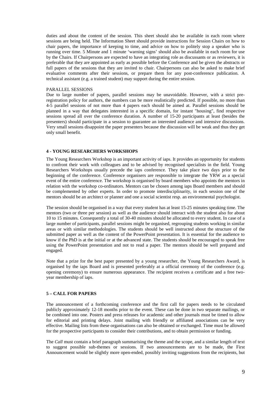duties and about the content of the session. This sheet should also be available in each room where sessions are being held. The Information Sheet should provide instructions for Session Chairs on how to chair papers, the importance of keeping to time, and advice on how to politely stop a speaker who is running over time. 5 Minute and 1 minute 'warning signs' should also be available in each room for use by the Chairs. If Chairpersons are expected to have an integrating role as discussants or as reviewers, it is preferable that they are appointed as early as possible before the Conference and be given the abstracts or full papers of the sessions that they are invited to chair. Chairpersons can also be asked to make brief evaluative comments after their sessions, or prepare them for any post-conference publication. A technical assistant (e.g. a trained student) may support during the entire session.

#### PARALLEL SESSIONS

Due to large number of papers, parallel sessions may be unavoidable. However, with a strict preregistration policy for authors, the numbers can be more realistically predicted. If possible, no more than 4-5 parallel sessions of not more than 4 papers each should be aimed at. Parallel sessions should be planned in a way that delegates interested in a specific domain, for instant "housing", find respective sessions spread all over the conference duration. A number of 15-20 participants at least (besides the presenters) should participate in a session to guarantee an interested audience and intensive discussions. Very small sessions disappoint the paper presenters because the discussion will be weak and thus they get only small benefit.

#### **4 - YOUNG RESEARCHERS WORKSHOPS**

The Young Researchers Workshop is an important activity of iaps. It provides an opportunity for students to confront their work with colleagues and to be advised by recognised specialists in the field. Young Researchers Workshops usually precede the iaps conference. They take place two days prior to the beginning of the conference. Conference organisers are responsible to integrate the YRW as a special event of the entire conference. The workshop is organised by board members who appoints the mentors in relation with the workshop co-ordinators. Mentors can be chosen among iaps Board members and should be complemented by other experts. In order to promote interdisciplinarity, in each session one of the mentors should be an architect or planner and one a social scientist resp. an environmental psychologist.

The session should be organised in a way that every student has at least 15-25 minutes speaking time. The mentors (two or three per session) as well as the audience should interact with the student also for about 10 to 15 minutes. Consequently a total of 30-40 minutes should be allocated to every student. In case of a large number of participants, parallel sessions might be organised, regrouping students working in similar areas or with similar methodologies. The students should be well instructed about the structure of the submitted paper as well as the content of the PowerPoint presentation. It is essential for the audience to know if the PhD is at the initial or at the advanced state. The students should be encouraged to speak free using the PowerPoint presentation and not to read a paper. The mentors should be well prepared and engaged.

Note that a prize for the best paper presented by a young researcher, the Young Researchers Award, is organised by the iaps Board and is presented preferably at a official ceremony of the conference (e.g. opening ceremony) to ensure numerous appearance. The recipient receives a certificate and a free twoyear membership of iaps.

#### **5 – CALL FOR PAPERS**

The announcement of a forthcoming conference and the first call for papers needs to be circulated publicly approximately 12-18 months prior to the event. These can be done in two separate mailings, or be combined into one. Posters and press releases for academic and other journals must be timed to allow for editorial and printing delays. Joint mailing with friendly or affiliated associations can be very effective. Mailing lists from these organisations can also be obtained or exchanged. Time must be allowed for the prospective participants to consider their contributions, and to obtain permission or funding.

The *Call* must contain a brief paragraph summarising the theme and the scope, and a similar length of text to suggest possible sub-themes or sessions. If two announcements are to be made, the First Announcement would be slightly more open-ended, possibly inviting suggestions from the recipients, but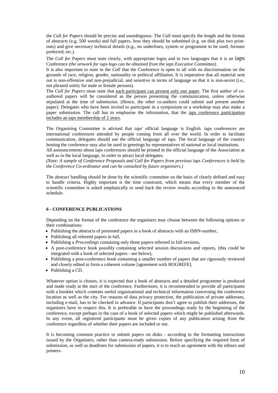the *Call for Papers* should be precise and unambiguous. The *Call* must specify the length and the format of abstracts (e.g. 500 words) and full papers, how they should be submitted (e.g. on disk plus two printouts) and give necessary technical details (e.g., no underlines, system or programme to be used, formats preferred, etc.).

The *Call for Papers* must state clearly, with appropriate logos and in two languages that it is an iaps Conference *(the artwork for* iaps *logo can be obtained from the iaps Executive Committee).* 

It is also important to state in the *Call* that the Conference is open to all with no discrimination on the grounds of race, religion, gender, nationality or political affiliation. It is imperative that all material sent out is non-offensive and non-prejudicial, and sensitive in terms of language so that it is non-sexist (i.e., not phrased solely for male or female persons).

The *Call for Papers* must state that each participant can present only *one* paper. The first author of coauthored papers will be considered as the person presenting the communication, unless otherwise stipulated at the time of submission. (Hence, the other co-authors could submit and present another paper). Delegates who have been invited to participate in a symposium or a workshop may also make a paper submission. The call has to emphasise the information, that the iaps conference participation includes an iaps membership of 2 years.

The Organising Committee is advised that iaps' official language is English. iaps conferences are international conferences attended by people coming from all over the world. In order to facilitate communication, delegates should use the official language of iaps. The local language of the country hosting the conference may also be used in greetings by representatives of national or local institutions.

All announcements about iaps conferences should be printed in the official language of the Association as well as in the local language, in order to attract local delegates.

*(Note: A sample of Conference Proposals and Call for Papers from previous iaps Conferences is held by the Conference Co-ordinator and can be consulted by future organisers.)* 

The abstract handling should be done by the scientific committee on the basis of clearly defined and easy to handle criteria. Highly important is the time constraint, which means that every member of the scientific committee is asked emphatically to send back the review results according to the announced schedule.

#### **6 - CONFERENCE PUBLICATIONS**

Depending on the format of the conference the organisers may choose between the following options or their combinations:

- Publishing the abstracts of presented papers in a book of abstracts with an ISBN-number,
- Publishing all refereed papers in full,
- Publishing a *Proceedings* containing only those papers refereed in full versions,
- A post-conference book possibly containing selected session discussions and reports, (this could be integrated with a book of selected papers - see below),
- Publishing a post-conference *book* containing a smaller number of papers that are rigorously reviewed and closely edited to form a coherent volume [agreement with HOGREFE].
- Publishing a CD.

Whatever option is chosen, it is expected that a book of abstracts and a detailed programme is produced and made ready at the start of the conference. Furthermore, it is recommended to provide all participants with a booklet which contents useful organisational and technical information concerning the conference location as well as the city. For reasons of data privacy protection, the publication of private addresses, including e-mail, has to be checked in advance. If participants don't agree to publish their addresses, the organisers have to respect this. It is preferable to have the proceedings ready by the beginning of the conference, except perhaps in the case of a book of selected papers which might be published afterwards. In any event, all registered participants must be given copies of any publication arising from the conference regardless of whether their papers are included or not.

It is becoming common practice to submit papers on disks - according to the formatting instructions issued by the Organisers, rather than camera-ready submission. Before specifying the required form of submission, as well as deadlines for submission of papers, it is to reach an agreement with the editors and printers.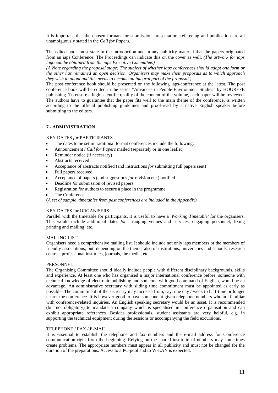It is important that the chosen formats for submission, presentation, refereeing and publication are all unambiguously stated in the *Call for Papers.*

The edited book must state in the introduction and in any publicity material that the papers originated from an iaps Conference. The Proceedings can indicate this on the cover as well. *(The artwork for iaps logo can be obtained from the iaps Executive Committee.)* 

*(A Note regarding the proposal stage: The subject of whether iaps conferences should adopt one form or the other has remained an open decision. Organisers may make their proposals as to which approach they wish to adopt and this needs to become an integral part of the proposal.)* 

The post conference book should be presented on the following iaps-conference at the latest. The post conference book will be edited in the series "Advances in People-Environment Studies" by HOGREFE publishing. To ensure a high scientific quality of the content of the volume, each paper will be reviewed. The authors have to guarantee that the paper fits well to the main theme of the conference, is written according to the official publishing guidelines and proof-read by a native English speaker before submitting to the editors.

#### **7 - ADMINISTRATION**

#### KEY DATES *for* PARTICIPANTS

- The dates to be set in traditional format conferences include the following:
- Announcement / *Call for Papers* mailed (separately or in one leaflet)
- Reminder notice (if necessary)
- Abstracts received
- Acceptance of abstracts notified (and instructions *for* submitting full papers sent)
- Full papers received
- Acceptance of papers (and suggestions *for* revision etc.) notified
- Deadline *for* submission of revised papers
- Registration *for* authors to secure a place in the programme
- The Conference

(*A set of sample' timetables from past conferences are included in the Appendix)*

#### KEY DATES for ORGANISERS

Parallel with the timetable for participants, it is useful to have a *'Working Timetable'* for the organisers. This would include additional dates *for* arranging venues and services, engaging personnel, fixing printing and mailing, etc.

#### MAILING LIST

Organisers need a comprehensive mailing list. It should include not only iaps members or the members of friendly associations, but, depending on the theme, also of institutions, universities and schools, research centres, professional institutes, journals, the media, etc..

#### PERSONNEL

The Organising Committee should ideally include people with different disciplinary backgrounds, skills and experience. At least one who has organised a major international conference before, someone with technical knowledge of electronic publishing and someone with good command of English, would be an advantage. An administrative secretary with sliding time commitment must be appointed as early as possible. The commitment of the secretary may increase from, say, one day / week to half-time or longer nearer the conference. It is however good to have someone at given telephone numbers who are familiar with conference-related inquiries. An English speaking secretary would be an asset. It is recommended (but not obligatory) to mandate a company which is specialised in conference organisation and can exhibit appropriate references. Besides professionals, student assistants are very helpful, e.g. in supporting the technical equipment during the sessions or accompanying the field excursions.

#### TELEPHONE / FAX / E-MAIL

It is essential to establish the telephone and fax numbers and the e-mail address for Conference communication right from the beginning. Relying on the shared institutional numbers may sometimes create problems. The appropriate numbers must appear in all publicity and must not be changed for the duration of the preparations. Access to a PC-pool and to W-LAN is expected.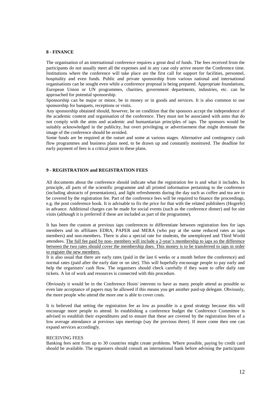#### **8 - FINANCE**

The organisation of an international conference requires a great deal of funds. The fees received from the participants do not usually meet all the expenses and in any case only arrive nearer the Conference time. Institutions where the conference will take place are the first call for support for facilities, personnel, hospitality and even funds. Public and private sponsorship from various national and international organisations can be sought even while a conference proposal is being prepared. Appropriate foundations, European Union or UN programmes, charities, government departments, industries, etc. can be approached for potential sponsorship.

Sponsorship can be major or minor, be in money or in goods and services. It is also common to use sponsorship for banquets, receptions or visits.

Any sponsorship obtained should, however, be on condition that the sponsors accept the independence of the academic content and organisation of the conference. They must not be associated with aims that do not comply with the aims and academic and humanitarian principles of iaps. The sponsors would be suitably acknowledged in the publicity, but overt privileging or advertisement that might dominate the image of the conference should be avoided.

Some funds are be required at the outset and some at various stages. Alternative and contingency cash flow programmes and business plans need, to be drawn up and constantly monitored. The deadline for early payment of fees is a critical point in these plans.

#### **9 - REGISTRATION and REGISTRATION FEES**

All documents about the conference should indicate what the registration fee is and what it includes. In principle, all parts of the scientific programme and all printed information pertaining to the conference (including abstracts of presentations), and light refreshments during the day such as coffee and tea are to be covered by the registration fee. Part of the conference fees will be required to finance the proceedings, e.g. the post conference book. It is advisable to fix the price for that with the related publishers (Hogrefe) in advance. Additional charges can be made for social events (such as the conference dinner) and for site visits (although it is preferred if these are included as part of the programme).

It has been the custom at previous iaps conferences to differentiate between registration fees for iaps members and its affiliates EDRA, PAPER and MERA (who pay at the same reduced rates as iaps members) and non-members. There is also a special rate for students, the unemployed and Third World attendees. The full fee paid by non- members will include a 2-year's membership to iaps so the difference between the two rates should cover the membership dues. This money is to be transferred to iaps in order to register the new members.

It is also usual that there are early rates (paid in the last 6 weeks or a month before the conference) and normal rates (paid after the early date or on site). This will hopefully encourage people to pay early and help the organisers' cash flow. The organisers should check carefully if they want to offer daily rate tickets. A lot of work and resources is connected with this procedure.

Obviously it would be in the Conference Hosts' interests to have as many people attend as possible so even late acceptance of papers may be allowed if this means you get another paid-up delegate. Obviously, the more people who attend the more one is able to cover costs.

It is believed that setting the registration fee as low as possible is a good strategy because this will encourage more people to attend. In establishing a conference budget the Conference Committee is advised to establish their expenditures and to ensure that these are covered by the registration fees of a low average attendance at previous iaps meetings (say the previous three). If more come then one can expand services accordingly.

#### RECEIVING FEES

Banking fees sent from up to 30 countries might create problems. Where possible, paying by credit card should be available. The organisers should consult an international bank before advising the participants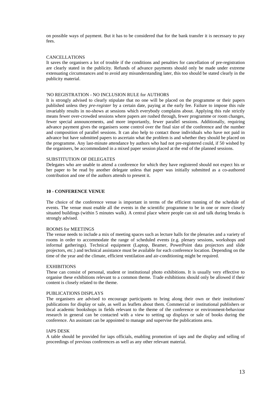on possible ways of payment. But it has to be considered that for the bank transfer it is necessary to pay  $f_{\rho\rho\alpha}$ 

#### **CANCELLATIONS**

It saves the organisers a lot of trouble if the conditions and penalties for cancellation of pre-registration are clearly stated in the publicity. Refunds of advance payments should only be made under extreme extenuating circumstances and to avoid any misunderstanding later, this too should be stated clearly in the publicity material.

#### 'NO REGISTRATION - NO INCLUSION RULE for AUTHORS

It is strongly advised to clearly stipulate that no one will be placed on the programme or their papers published unless they *pre-register* by a certain date, paying at the early fee. Failure to impose this rule invariably results in no-shows at sessions which everybody complains about. Applying this rule strictly means fewer over-crowded sessions where papers are rushed through, fewer programme or room changes, fewer special announcements, and more importantly, fewer parallel sessions. Additionally, requiring advance payment gives the organisers some control over the final size of the conference and the number and composition of parallel sessions. It can also help to contact those individuals who have not paid in advance but have submitted papers to ascertain what the problem is and whether they should be placed on the programme. Any last-minute attendance by authors who had not pre-registered could, if 50 wished by the organisers, be accommodated in a mixed paper session placed at the end of the planned sessions.

#### SUBSTITUTION OF DELEGATES

Delegates who are unable to attend a conference for which they have registered should not expect his or her paper to be read by another delegate unless that paper was initially submitted as a co-authored contribution and one of the authors attends to present it.

#### **10 - CONFERENCE VENUE**

The choice of the conference venue is important in terms of the efficient running of the schedule of events. The venue must enable all the events in the scientific programme to be in one or more closely situated buildings (within 5 minutes walk). A central place where people can sit and talk during breaks is strongly advised.

#### ROOMS for MEETINGS

The venue needs to include a mix of meeting spaces such as lecture halls for the plenaries and a variety of rooms in order to accommodate the range of scheduled events (e.g. plenary sessions, workshops and informal gatherings). Technical equipment (Laptop, Beamer, PowerPoint data projectors and slide projectors, etc.) and technical assistance must be available for each conference location. Depending on the time of the year and the climate, efficient ventilation and air-conditioning might be required.

#### **EXHIBITIONS**

These can consist of personal, student or institutional photo exhibitions. It is usually very effective to organise these exhibitions relevant to a common theme. Trade exhibitions should only be allowed if their content is closely related to the theme.

#### PUBLICATIONS DISPLAYS

The organisers are advised to encourage participants to bring along their own or their institutions' publications for display or sale, as well as leaflets about them. Commercial or institutional publishers or local academic bookshops in fields relevant to the theme of the conference or environment-behaviour research in general can be contacted with a view to setting up displays or sale of books during the conference. An assistant can be appointed to manage and supervise the publications area.

#### IAPS DESK

A table should be provided for iaps officials, enabling promotion of iaps and the display and selling of proceedings of previous conferences as well as any other relevant material.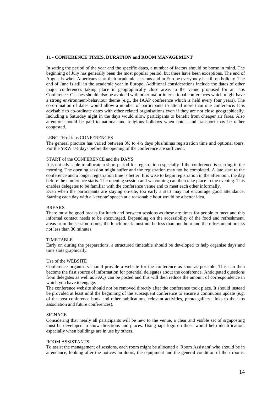#### **11 - CONFERENCE TIMES, DURATION and ROOM MANAGEMENT**

In setting the period of the year and the specific dates, a number of factors should be borne in mind. The beginning of July has generally been the most popular period, but there have been exceptions. The end of August is when Americans start their academic sessions and in Europe everybody is still on holiday. The end of June is still in the academic year in Europe. Additional considerations include the dates of other major conferences taking place in geographically close areas to the venue proposed for an iaps Conference. Clashes should also be avoided with other major international conferences which might have a strong environment-behaviour theme (e.g., the IAAP conference which is held every four years). The co-ordination of dates would allow a number of participants to attend more than one conference. It is advisable to co-ordinate dates with other related organisations even if they are not close geographically. Including a Saturday night in the days would allow participants to benefit from cheaper air fares. Also attention should be paid to national and religious holidays when hotels and transport may be rather congested.

#### LENGTH of iaps CONFERENCES

The general practice has varied between 3½ to 4½ days plus/minus registration time and optional tours. For the YRW 1½ days before the opening of the conference are sufficient.

#### START of the CONFERENCE and the DAYS

It is not advisable to allocate a short period for registration especially if the conference is starting in the morning. The opening session might suffer and the registration may not be completed. A late start to the conference and a longer registration time is better. It is wise to begin registration in the afternoon, the day before the conference starts. The opening session and welcoming can then take place in the evening. This enables delegates to be familiar with the conference venue and to meet each other informally.

Even when the participants are staying on-site, too early a start may not encourage good attendance. Starting each day with a 'keynote' speech at a reasonable hour would be a better idea.

#### **BREAKS**

There must be good breaks for lunch and between sessions as these are times for people to meet and this informal contact needs to be encouraged. Depending on the accessibility of the food and refreshment, areas from the session rooms, the lunch break must not be less than one hour and the refreshment breaks not less than 30 minutes.

#### TIMETABLE

Early on during the preparations, a structured timetable should be developed to help organise days and time slots graphically.

#### Use of the WEBSITE

Conference organisers should provide a website for the conference as soon as possible. This can then become the first source of information for potential delegates about the conference. Anticipated questions from delegates as well as FAQs can be posted and this will then reduce the amount of correspondence in which you have to engage.

The conference website should not be removed directly after the conference took place. It should instead be provided at least until the beginning of the subsequent conference to ensure a continuous update (e.g. of the post conference book and other publications, relevant activities, photo gallery, links to the iaps association and future conferences).

#### **SIGNAGE**

Considering that nearly all participants will be new to the venue, a clear and visible set of signposting must be developed to show directions and places. Using iaps logo on those would help identification, especially when buildings are in use by others.

#### ROOM ASSISTANTS

To assist the management of sessions, each room might be allocated a 'Room Assistant' who should be in attendance, looking after the notices on doors, the equipment and the general condition of their rooms.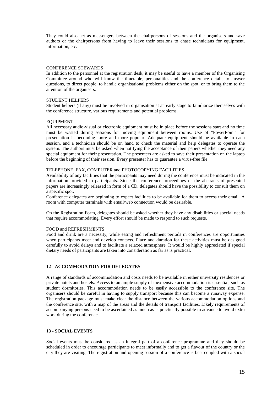They could also act as messengers between the chairpersons of sessions and the organisers and save authors or the chairpersons from having to leave their sessions to chase technicians for equipment, information, etc.

#### CONFERENCE STEWARDS

In addition to the personnel at the registration desk, it may be useful to have a member of the Organising Committee around who will know the timetable, personalities and the conference details to answer questions, to direct people, to handle organisational problems either on the spot, or to bring them to the attention of the organisers.

#### STUDENT HELPERS

Student helpers (if any) must be involved in organisation at an early stage to familiarize themselves with the conference structure, various requirements and potential problems.

#### EQUIPMENT

All necessary audio-visual or electronic equipment must be in place before the sessions start and no time must be wasted during sessions for moving equipment between rooms. Use of "PowerPoint" for presentation is becoming more and more popular. Adequate equipment should be available in each session, and a technician should be on hand to check the material and help delegates to operate the system. The authors must be asked when notifying the acceptance of their papers whether they need any special equipment for their presentation. The presenters are asked to save their presentation on the laptop before the beginning of their session. Every presenter has to guarantee a virus-free file.

#### TELEPHONE, FAX, COMPUTER and PHOTOCOPYING FACILITIES

Availability of any facilities that the participants may need during the conference must be indicated in the information provided to participants. Since the conference proceedings or the abstracts of presented papers are increasingly released in form of a CD, delegates should have the possibility to consult them on a specific spot.

Conference delegates are beginning to expect facilities to be available for them to access their email. A room with computer terminals with email/web connection would be desirable.

On the Registration Form, delegates should be asked whether they have any disabilities or special needs that require accommodating. Every effort should be made to respond to such requests.

#### FOOD and REFRESHMENTS

Food and drink are a necessity, while eating and refreshment periods in conferences are opportunities when participants meet and develop contacts. Place and duration for these activities must be designed carefully to avoid delays and to facilitate a relaxed atmosphere. It would be highly appreciated if special dietary needs of participants are taken into consideration as far as is practical.

#### **12 - ACCOMMODATION FOR DELEGATES**

A range of standards of accommodation and costs needs to be available in either university residences or private hotels and hostels. Access to an ample supply of inexpensive accommodation is essential, such as student dormitories. This accommodation needs to be easily accessible to the conference site. The organisers should be careful in having to supply transport because this can become a runaway expense. The registration package must make clear the distance between the various accommodation options and the conference site, with a map of the areas and the details of transport facilities. Likely requirements of accompanying persons need to be ascertained as much as is practically possible in advance to avoid extra work during the conference.

#### **13 - SOCIAL EVENTS**

Social events must be considered as an integral part of a conference programme and they should be scheduled in order to encourage participants to meet informally and to get a flavour of the country or the city they are visiting. The registration and opening session of a conference is best coupled with a social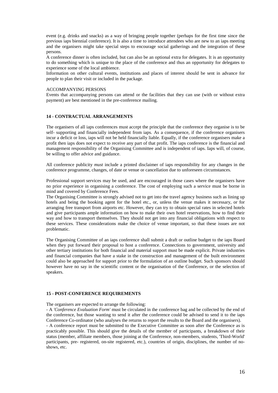event (e.g. drinks and snacks) as a way of bringing people together (perhaps for the first time since the previous iaps biennial conference). It is also a time to introduce attendees who are new to an iaps meeting and the organisers might take special steps to encourage social gatherings and the integration of these persons.

A conference dinner is often included, but can also be an optional extra for delegates. It is an opportunity to do something which is unique to the place of the conference and thus an opportunity for delegates to experience some of the local ambience.

Information on other cultural events, institutions and places of interest should be sent in advance for people to plan their visit or included in the package.

#### ACCOMPANYING PERSONS

Events that accompanying persons can attend or the facilities that they can use (with or without extra payment) are best mentioned in the pre-conference mailing.

#### **14 - CONTRACTUAL ARRANGEMENTS**

The organisers of all iaps conferences must accept the principle that the conference they organise is to be self- supporting and financially independent from iaps. As a consequence, if the conference organisers incur a deficit or loss, iaps will not be held financially liable. Equally, if the conference organisers make a profit then iaps does not expect to receive any part of that profit. The iaps conference is the financial and management responsibility of the Organising Committee and is independent of iaps. Iaps will, of course, be willing to offer advice and guidance.

All conference publicity *must* include a printed disclaimer of iaps responsibility for any changes in the conference programme, changes, of date or venue or cancellation due to unforeseen circumstances.

Professional support services may be used, and are encouraged in those cases where the organisers have no prior experience in organising a conference. The cost of employing such a service must be borne in mind and covered by Conference Fees.

The Organising Committee is strongly advised not to get into the travel agency business such as lining up hotels and being the booking agent for the hotel etc., or, unless the venue makes it necessary, or for arranging free transport from airports etc. However, they can try to obtain special rates in selected hotels and give participants ample information on how to make their own hotel reservations, how to find their way and how to transport themselves. They should not get into any financial obligations with respect to these services. These considerations make the choice of venue important, so that these issues are not problematic.

The Organising Committee of an iaps conference shall submit a draft or outline budget to the iaps Board when they put forward their proposal to host a conference. Connections to government, university and other tertiary institutions for both financial and material support must be made explicit. Private industries and financial companies that have a stake in the construction and management of the built environment could also be approached for support prior to the formulation of an outline budget. Such sponsors should however have no say in the scientific content or the organisation of the Conference, or the selection of speakers.

#### **15 - POST-CONFERENCE REQUIREMENTS**

#### The organisers are expected to arrange the following:

- A *'Conference Evaluation Form'* must be circulated in the conference bag and be collected by the end of the conference, but those wanting to send it after the conference could be advised to send it to the iaps Conference Co-ordinator (who analyses the returns to report the results to the Board and the organisers).

- A conference report must be submitted to the Executive Committee as soon after the Conference as is practicably possible. This should give the details of the member of participants, a breakdown of their status (member, affiliate members, those joining at the Conference, non-members, students, 'Third-World' participants, pre- registered, on-site registered, etc.), countries of origin, disciplines, the number of noshows, etc.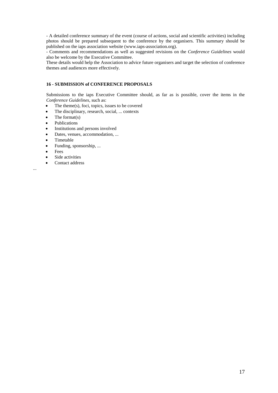- A detailed conference summary of the event (course of actions, social and scientific activities) including photos should be prepared subsequent to the conference by the organisers. This summary should be published on the iaps association website (www.iaps-association.org).

- Comments and recommendations as well as suggested revisions on the *Conference Guidelines* would also be welcome by the Executive Committee.

These details would help the Association to advice future organisers and target the selection of conference themes and audiences more effectively.

#### **16 - SUBMISSION of CONFERENCE PROPOSALS**

Submissions to the iaps Executive Committee should, as far as is possible, cover the items in the *Conference Guidelines*, such as:

- The theme(s), foci, topics, issues to be covered
- The disciplinary, research, social, ... contexts
- The format $(s)$
- Publications
- Institutions and persons involved
- Dates, venues, accommodation, ...
- Timetable
- Funding, sponsorship, ...
- Fees
- Side activities
- Contact address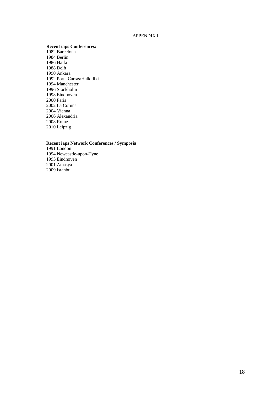#### APPENDIX I

#### **Recent iaps Conferences:**

1982 Barcelona 1984 Berlin 1986 Haifa 1988 Delft 1990 Ankara 1992 Porta Carras/Halkidiki 1994 Manchester 1996 Stockholm 1998 Eindhoven 2000 Paris 2002 La Coruña 2004 Vienna 2006 Alexandria 2008 Rome 2010 Leipzig

#### **Recent iaps Network Conferences / Symposia**

1991 London 1994 Newcastle-upon-Tyne 1995 Eindhoven 2001 Amasya 2009 Istanbul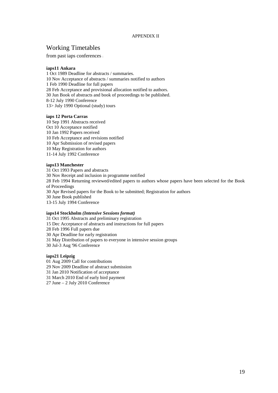#### APPENDIX II

### Working Timetables

from past iaps conferences :

#### **iaps11 Ankara**

1 Oct 1989 Deadline for abstracts / summaries. 10 Nov Acceptance of abstracts / summaries notified to authors 1 Feb 1990 Deadline for full papers 28 Feb Acceptance and provisional allocation notified to authors. 30 Jun Book of abstracts and book of proceedings to be published. 8-12 July 1990 Conference 13> July 1990 Optional (study) tours

#### **iaps 12 Porta Carras**

10 Sep 1991 Abstracts received Oct 10 Acceptance notified 10 Jan 1992 Papers received 10 Feb Acceptance and revisions notified 10 Apr Submission of revised papers 10 May Registration for authors 11-14 July 1992 Conference

#### **iaps13 Manchester**

31 Oct 1993 Papers and abstracts 30 Nov Receipt and inclusion in programme notified 28 Feb 1994 Returning reviewed/edited papers to authors whose papers have been selected for the Book of Proceedings 30 Apr Revised papers for the Book to be submitted; Registration for authors 30 June Book published 13-15 July 1994 Conference

#### **iaps14 Stockholm** *(Intensive Sessions format)*

31 Oct 1995 Abstracts and preliminary registration 15 Dec Acceptance of abstracts and instructions for full papers 28 Feb 1996 Full papers due 30 Apr Deadline for early registration 31 May Distribution of papers to everyone in intensive session groups 30 Jul-3 Aug '96 Conference

#### **iaps21 Leipzig**

01 Aug 2009 Call for contributions

29 Nov 2009 Deadline of abstract submission

31 Jan 2010 Notification of acceptance

31 March 2010 End of early bird payment

27 June – 2 July 2010 Conference